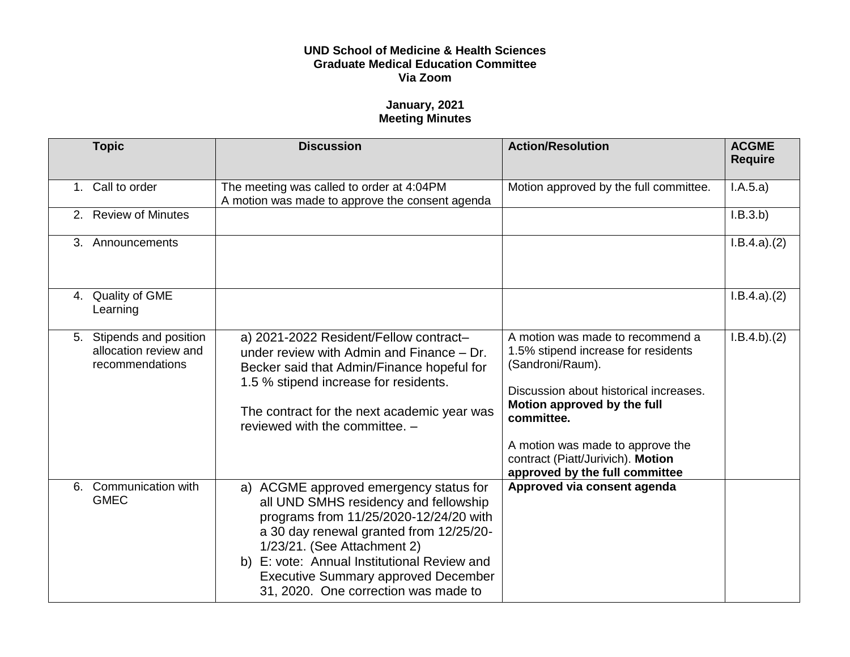## **UND School of Medicine & Health Sciences Graduate Medical Education Committee Via Zoom**

## **January, 2021 Meeting Minutes**

| <b>Topic</b>                                                         | <b>Discussion</b>                                                                                                                                                                                                                                                                                                                        | <b>Action/Resolution</b>                                                                                                                                                                                                                                                                      | <b>ACGME</b><br><b>Require</b> |
|----------------------------------------------------------------------|------------------------------------------------------------------------------------------------------------------------------------------------------------------------------------------------------------------------------------------------------------------------------------------------------------------------------------------|-----------------------------------------------------------------------------------------------------------------------------------------------------------------------------------------------------------------------------------------------------------------------------------------------|--------------------------------|
| 1. Call to order                                                     | The meeting was called to order at 4:04PM<br>A motion was made to approve the consent agenda                                                                                                                                                                                                                                             | Motion approved by the full committee.                                                                                                                                                                                                                                                        | I.A.5.a)                       |
| 2. Review of Minutes                                                 |                                                                                                                                                                                                                                                                                                                                          |                                                                                                                                                                                                                                                                                               | I.B.3.b)                       |
| 3. Announcements                                                     |                                                                                                                                                                                                                                                                                                                                          |                                                                                                                                                                                                                                                                                               | I.B.4.a)(2)                    |
| 4. Quality of GME<br>Learning                                        |                                                                                                                                                                                                                                                                                                                                          |                                                                                                                                                                                                                                                                                               | I.B.4.a)(2)                    |
| 5. Stipends and position<br>allocation review and<br>recommendations | a) 2021-2022 Resident/Fellow contract-<br>under review with Admin and Finance $-$ Dr.<br>Becker said that Admin/Finance hopeful for<br>1.5 % stipend increase for residents.<br>The contract for the next academic year was<br>reviewed with the committee. -                                                                            | A motion was made to recommend a<br>1.5% stipend increase for residents<br>(Sandroni/Raum).<br>Discussion about historical increases.<br>Motion approved by the full<br>committee.<br>A motion was made to approve the<br>contract (Piatt/Jurivich). Motion<br>approved by the full committee | I.B.4.b)(2)                    |
| Communication with<br>6.<br><b>GMEC</b>                              | a) ACGME approved emergency status for<br>all UND SMHS residency and fellowship<br>programs from 11/25/2020-12/24/20 with<br>a 30 day renewal granted from 12/25/20-<br>1/23/21. (See Attachment 2)<br>b) E: vote: Annual Institutional Review and<br><b>Executive Summary approved December</b><br>31, 2020. One correction was made to | Approved via consent agenda                                                                                                                                                                                                                                                                   |                                |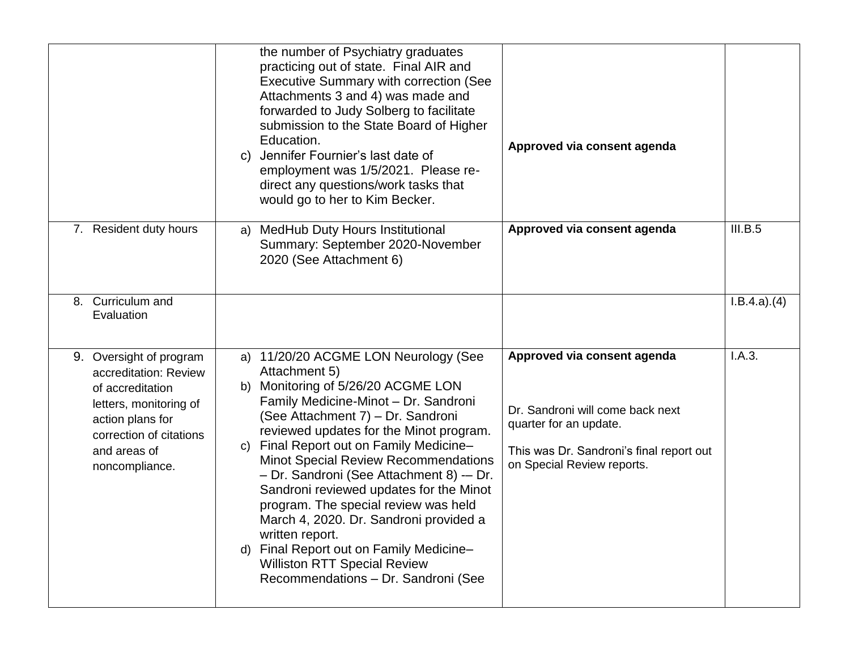|                                                                                                                                                                                 | the number of Psychiatry graduates<br>practicing out of state. Final AIR and<br><b>Executive Summary with correction (See</b><br>Attachments 3 and 4) was made and<br>forwarded to Judy Solberg to facilitate<br>submission to the State Board of Higher<br>Education.<br>c) Jennifer Fournier's last date of<br>employment was 1/5/2021. Please re-<br>direct any questions/work tasks that<br>would go to her to Kim Becker.                                                                                                                                                                                                                     | Approved via consent agenda                                                                                                                                         |             |
|---------------------------------------------------------------------------------------------------------------------------------------------------------------------------------|----------------------------------------------------------------------------------------------------------------------------------------------------------------------------------------------------------------------------------------------------------------------------------------------------------------------------------------------------------------------------------------------------------------------------------------------------------------------------------------------------------------------------------------------------------------------------------------------------------------------------------------------------|---------------------------------------------------------------------------------------------------------------------------------------------------------------------|-------------|
| 7. Resident duty hours                                                                                                                                                          | <b>MedHub Duty Hours Institutional</b><br>a)<br>Summary: September 2020-November<br>2020 (See Attachment 6)                                                                                                                                                                                                                                                                                                                                                                                                                                                                                                                                        | Approved via consent agenda                                                                                                                                         | III.B.5     |
| Curriculum and<br>8.<br>Evaluation                                                                                                                                              |                                                                                                                                                                                                                                                                                                                                                                                                                                                                                                                                                                                                                                                    |                                                                                                                                                                     | I.B.4.a)(4) |
| 9. Oversight of program<br>accreditation: Review<br>of accreditation<br>letters, monitoring of<br>action plans for<br>correction of citations<br>and areas of<br>noncompliance. | a) 11/20/20 ACGME LON Neurology (See<br>Attachment 5)<br>b) Monitoring of 5/26/20 ACGME LON<br>Family Medicine-Minot - Dr. Sandroni<br>(See Attachment 7) - Dr. Sandroni<br>reviewed updates for the Minot program.<br>Final Report out on Family Medicine-<br>$\mathsf{C}$<br><b>Minot Special Review Recommendations</b><br>- Dr. Sandroni (See Attachment 8) -- Dr.<br>Sandroni reviewed updates for the Minot<br>program. The special review was held<br>March 4, 2020. Dr. Sandroni provided a<br>written report.<br>Final Report out on Family Medicine-<br>d)<br><b>Williston RTT Special Review</b><br>Recommendations - Dr. Sandroni (See | Approved via consent agenda<br>Dr. Sandroni will come back next<br>quarter for an update.<br>This was Dr. Sandroni's final report out<br>on Special Review reports. | I.A.3.      |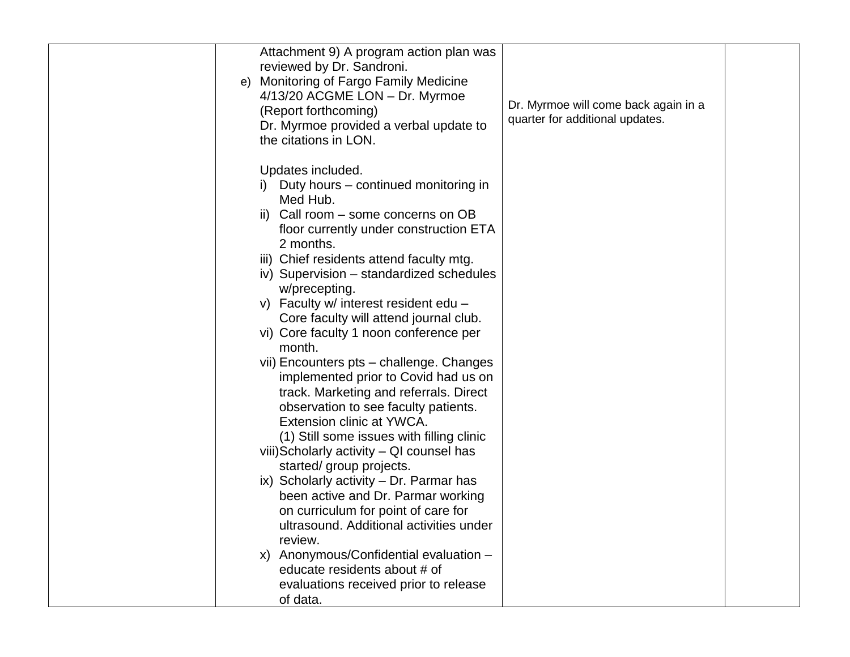| Attachment 9) A program action plan was          |                                      |  |
|--------------------------------------------------|--------------------------------------|--|
| reviewed by Dr. Sandroni.                        |                                      |  |
| <b>Monitoring of Fargo Family Medicine</b><br>e) |                                      |  |
| 4/13/20 ACGME LON - Dr. Myrmoe                   |                                      |  |
| (Report forthcoming)                             | Dr. Myrmoe will come back again in a |  |
| Dr. Myrmoe provided a verbal update to           | quarter for additional updates.      |  |
| the citations in LON.                            |                                      |  |
|                                                  |                                      |  |
| Updates included.                                |                                      |  |
| i) Duty hours – continued monitoring in          |                                      |  |
| Med Hub.                                         |                                      |  |
| ii) Call room – some concerns on OB              |                                      |  |
| floor currently under construction ETA           |                                      |  |
| 2 months.                                        |                                      |  |
| iii) Chief residents attend faculty mtg.         |                                      |  |
| iv) Supervision - standardized schedules         |                                      |  |
| w/precepting.                                    |                                      |  |
| v) Faculty w/ interest resident edu -            |                                      |  |
| Core faculty will attend journal club.           |                                      |  |
| vi) Core faculty 1 noon conference per           |                                      |  |
| month.                                           |                                      |  |
| vii) Encounters pts - challenge. Changes         |                                      |  |
|                                                  |                                      |  |
| implemented prior to Covid had us on             |                                      |  |
| track. Marketing and referrals. Direct           |                                      |  |
| observation to see faculty patients.             |                                      |  |
| Extension clinic at YWCA.                        |                                      |  |
| (1) Still some issues with filling clinic        |                                      |  |
| viii) Scholarly activity - QI counsel has        |                                      |  |
| started/ group projects.                         |                                      |  |
| ix) Scholarly activity - Dr. Parmar has          |                                      |  |
| been active and Dr. Parmar working               |                                      |  |
| on curriculum for point of care for              |                                      |  |
| ultrasound. Additional activities under          |                                      |  |
| review.                                          |                                      |  |
| x) Anonymous/Confidential evaluation -           |                                      |  |
| educate residents about # of                     |                                      |  |
| evaluations received prior to release            |                                      |  |
| of data.                                         |                                      |  |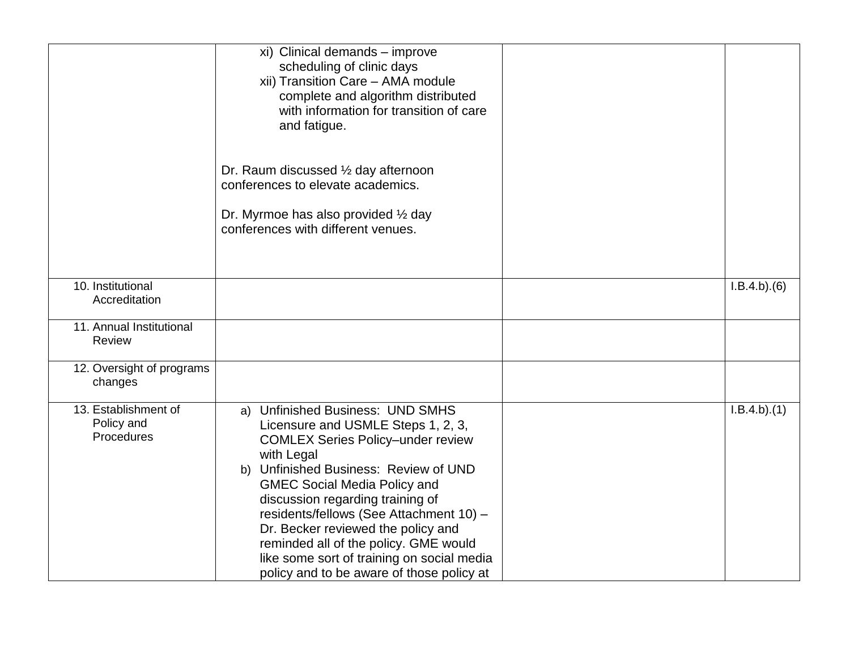|                                                  | xi) Clinical demands - improve<br>scheduling of clinic days<br>xii) Transition Care - AMA module<br>complete and algorithm distributed<br>with information for transition of care<br>and fatigue.                                                                                                                                                                                                                                                                         |             |
|--------------------------------------------------|---------------------------------------------------------------------------------------------------------------------------------------------------------------------------------------------------------------------------------------------------------------------------------------------------------------------------------------------------------------------------------------------------------------------------------------------------------------------------|-------------|
|                                                  | Dr. Raum discussed 1/2 day afternoon<br>conferences to elevate academics.                                                                                                                                                                                                                                                                                                                                                                                                 |             |
|                                                  | Dr. Myrmoe has also provided 1/2 day<br>conferences with different venues.                                                                                                                                                                                                                                                                                                                                                                                                |             |
| 10. Institutional<br>Accreditation               |                                                                                                                                                                                                                                                                                                                                                                                                                                                                           | I.B.4.b)(6) |
| 11. Annual Institutional<br>Review               |                                                                                                                                                                                                                                                                                                                                                                                                                                                                           |             |
| 12. Oversight of programs<br>changes             |                                                                                                                                                                                                                                                                                                                                                                                                                                                                           |             |
| 13. Establishment of<br>Policy and<br>Procedures | a) Unfinished Business: UND SMHS<br>Licensure and USMLE Steps 1, 2, 3,<br><b>COMLEX Series Policy-under review</b><br>with Legal<br>b) Unfinished Business: Review of UND<br><b>GMEC Social Media Policy and</b><br>discussion regarding training of<br>residents/fellows (See Attachment 10) -<br>Dr. Becker reviewed the policy and<br>reminded all of the policy. GME would<br>like some sort of training on social media<br>policy and to be aware of those policy at | I.B.4.b)(1) |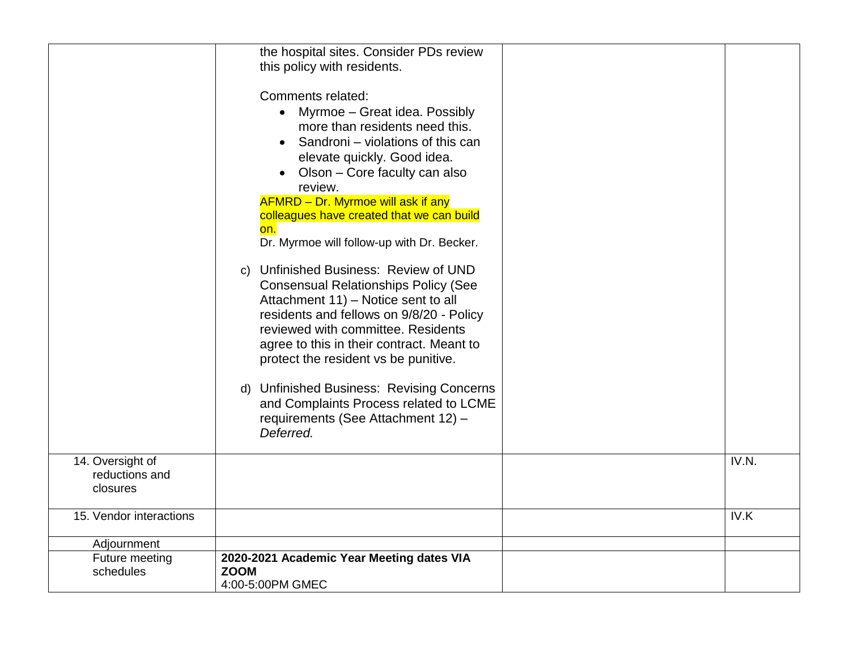|                                                | the hospital sites. Consider PDs review<br>this policy with residents.<br>Comments related:<br>• Myrmoe - Great idea. Possibly<br>more than residents need this.<br>• Sandroni – violations of this can<br>elevate quickly. Good idea.<br>Olson – Core faculty can also<br>review.<br><b>AFMRD - Dr. Myrmoe will ask if any</b><br>colleagues have created that we can build<br>on.<br>Dr. Myrmoe will follow-up with Dr. Becker.<br>c) Unfinished Business: Review of UND<br><b>Consensual Relationships Policy (See</b><br>Attachment 11) - Notice sent to all<br>residents and fellows on 9/8/20 - Policy<br>reviewed with committee. Residents<br>agree to this in their contract. Meant to<br>protect the resident vs be punitive.<br>d) Unfinished Business: Revising Concerns<br>and Complaints Process related to LCME<br>requirements (See Attachment 12) -<br>Deferred. |                    |
|------------------------------------------------|-----------------------------------------------------------------------------------------------------------------------------------------------------------------------------------------------------------------------------------------------------------------------------------------------------------------------------------------------------------------------------------------------------------------------------------------------------------------------------------------------------------------------------------------------------------------------------------------------------------------------------------------------------------------------------------------------------------------------------------------------------------------------------------------------------------------------------------------------------------------------------------|--------------------|
| 14. Oversight of<br>reductions and<br>closures |                                                                                                                                                                                                                                                                                                                                                                                                                                                                                                                                                                                                                                                                                                                                                                                                                                                                                   | IV.N.              |
| 15. Vendor interactions                        |                                                                                                                                                                                                                                                                                                                                                                                                                                                                                                                                                                                                                                                                                                                                                                                                                                                                                   | $\overline{IV}$ .K |
| Adjournment                                    |                                                                                                                                                                                                                                                                                                                                                                                                                                                                                                                                                                                                                                                                                                                                                                                                                                                                                   |                    |
| Future meeting<br>schedules                    | 2020-2021 Academic Year Meeting dates VIA<br><b>ZOOM</b><br>4:00-5:00PM GMEC                                                                                                                                                                                                                                                                                                                                                                                                                                                                                                                                                                                                                                                                                                                                                                                                      |                    |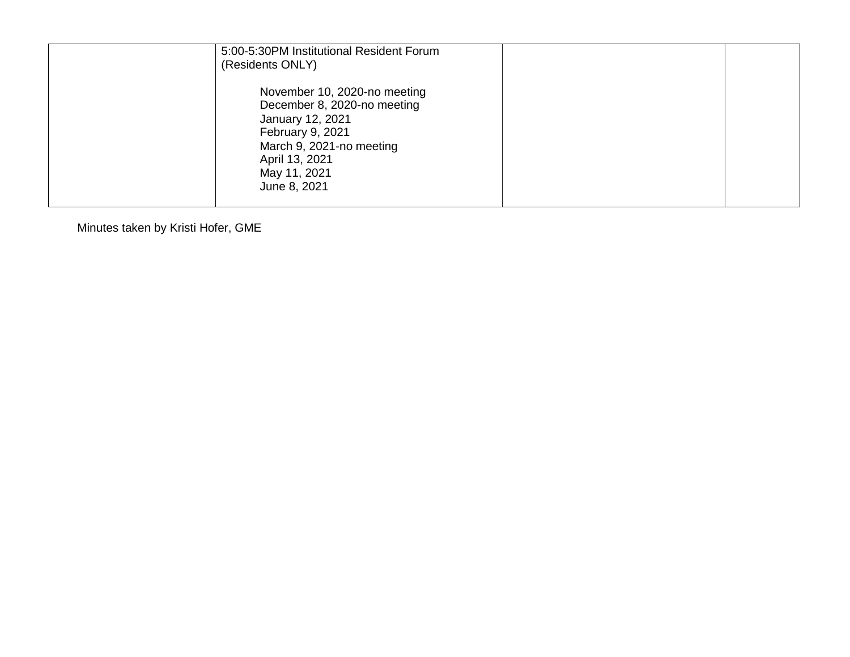| 5:00-5:30PM Institutional Resident Forum<br>(Residents ONLY)                                                                                                                      |  |
|-----------------------------------------------------------------------------------------------------------------------------------------------------------------------------------|--|
| November 10, 2020-no meeting<br>December 8, 2020-no meeting<br>January 12, 2021<br>February 9, 2021<br>March 9, 2021-no meeting<br>April 13, 2021<br>May 11, 2021<br>June 8, 2021 |  |

Minutes taken by Kristi Hofer, GME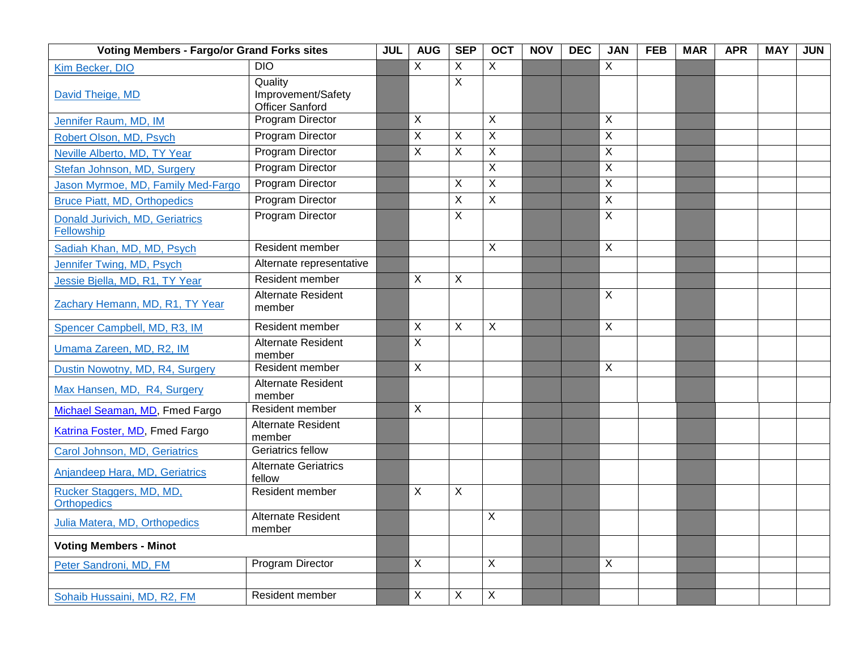| <b>Voting Members - Fargo/or Grand Forks sites</b> |                                                         | <b>JUL</b> | <b>AUG</b>                | <b>SEP</b> | <b>OCT</b>                | <b>NOV</b> | DEC | <b>JAN</b>                | <b>FEB</b> | <b>MAR</b> | <b>APR</b> | <b>MAY</b> | <b>JUN</b> |
|----------------------------------------------------|---------------------------------------------------------|------------|---------------------------|------------|---------------------------|------------|-----|---------------------------|------------|------------|------------|------------|------------|
| Kim Becker, DIO                                    | <b>DIO</b>                                              |            | $\mathsf{X}$              | X          | X                         |            |     | $\overline{X}$            |            |            |            |            |            |
| David Theige, MD                                   | Quality<br>Improvement/Safety<br><b>Officer Sanford</b> |            |                           | X          |                           |            |     |                           |            |            |            |            |            |
| Jennifer Raum, MD, IM                              | Program Director                                        |            | $\mathsf X$               |            | X                         |            |     | $\sf X$                   |            |            |            |            |            |
| Robert Olson, MD, Psych                            | Program Director                                        |            | X                         | X          | X                         |            |     | X                         |            |            |            |            |            |
| Neville Alberto, MD, TY Year                       | Program Director                                        |            | X                         | X          | X                         |            |     | $\mathsf{X}$              |            |            |            |            |            |
| Stefan Johnson, MD, Surgery                        | <b>Program Director</b>                                 |            |                           |            | X                         |            |     | X                         |            |            |            |            |            |
| Jason Myrmoe, MD, Family Med-Fargo                 | Program Director                                        |            |                           | Χ          | Χ                         |            |     | $\boldsymbol{\mathsf{X}}$ |            |            |            |            |            |
| <b>Bruce Piatt, MD, Orthopedics</b>                | Program Director                                        |            |                           | Χ          | X                         |            |     | X                         |            |            |            |            |            |
| Donald Jurivich, MD, Geriatrics<br>Fellowship      | Program Director                                        |            |                           | X          |                           |            |     | $\overline{X}$            |            |            |            |            |            |
| Sadiah Khan, MD, MD, Psych                         | Resident member                                         |            |                           |            | X                         |            |     | X                         |            |            |            |            |            |
| Jennifer Twing, MD, Psych                          | Alternate representative                                |            |                           |            |                           |            |     |                           |            |            |            |            |            |
| Jessie Bjella, MD, R1, TY Year                     | Resident member                                         |            | X                         | X          |                           |            |     |                           |            |            |            |            |            |
| Zachary Hemann, MD, R1, TY Year                    | <b>Alternate Resident</b><br>member                     |            |                           |            |                           |            |     | $\mathsf{X}$              |            |            |            |            |            |
| Spencer Campbell, MD, R3, IM                       | Resident member                                         |            | $\boldsymbol{\mathsf{X}}$ | X          | X                         |            |     | $\mathsf{X}$              |            |            |            |            |            |
| Umama Zareen, MD, R2, IM                           | <b>Alternate Resident</b><br>member                     |            | $\times$                  |            |                           |            |     |                           |            |            |            |            |            |
| Dustin Nowotny, MD, R4, Surgery                    | Resident member                                         |            | X                         |            |                           |            |     | $\overline{X}$            |            |            |            |            |            |
| Max Hansen, MD, R4, Surgery                        | Alternate Resident<br>member                            |            |                           |            |                           |            |     |                           |            |            |            |            |            |
| Michael Seaman, MD, Fmed Fargo                     | Resident member                                         |            | X                         |            |                           |            |     |                           |            |            |            |            |            |
| Katrina Foster, MD, Fmed Fargo                     | Alternate Resident<br>member                            |            |                           |            |                           |            |     |                           |            |            |            |            |            |
| Carol Johnson, MD, Geriatrics                      | <b>Geriatrics fellow</b>                                |            |                           |            |                           |            |     |                           |            |            |            |            |            |
| Anjandeep Hara, MD, Geriatrics                     | <b>Alternate Geriatrics</b><br>fellow                   |            |                           |            |                           |            |     |                           |            |            |            |            |            |
| Rucker Staggers, MD, MD,<br><b>Orthopedics</b>     | Resident member                                         |            | X                         | X          |                           |            |     |                           |            |            |            |            |            |
| Julia Matera, MD, Orthopedics                      | <b>Alternate Resident</b><br>member                     |            |                           |            | X                         |            |     |                           |            |            |            |            |            |
| <b>Voting Members - Minot</b>                      |                                                         |            |                           |            |                           |            |     |                           |            |            |            |            |            |
| Peter Sandroni, MD, FM                             | Program Director                                        |            | $\overline{X}$            |            | X                         |            |     | $\overline{X}$            |            |            |            |            |            |
|                                                    |                                                         |            |                           |            |                           |            |     |                           |            |            |            |            |            |
| Sohaib Hussaini, MD, R2, FM                        | Resident member                                         |            | $\mathsf X$               | X          | $\boldsymbol{\mathsf{X}}$ |            |     |                           |            |            |            |            |            |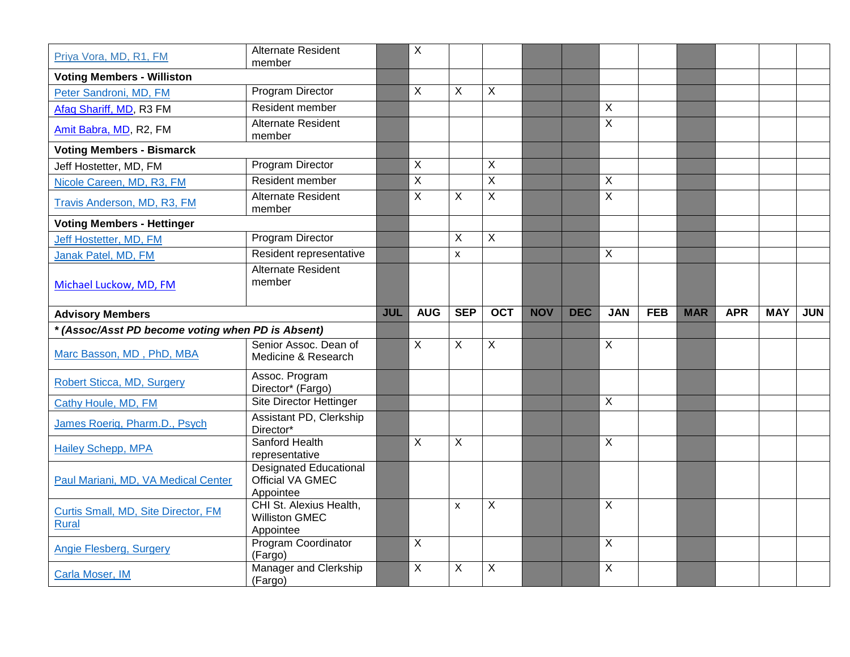| Priya Vora, MD, R1, FM                              | <b>Alternate Resident</b><br>member                            |            | $\overline{\mathsf{X}}$ |                |                |            |            |                     |            |            |            |            |            |
|-----------------------------------------------------|----------------------------------------------------------------|------------|-------------------------|----------------|----------------|------------|------------|---------------------|------------|------------|------------|------------|------------|
| <b>Voting Members - Williston</b>                   |                                                                |            |                         |                |                |            |            |                     |            |            |            |            |            |
| Peter Sandroni, MD, FM                              | Program Director                                               |            | $\sf X$                 | X              | $\mathsf{X}$   |            |            |                     |            |            |            |            |            |
| Afaq Shariff, MD, R3 FM                             | Resident member                                                |            |                         |                |                |            |            | $\mathsf{X}$        |            |            |            |            |            |
| Amit Babra, MD, R2, FM                              | <b>Alternate Resident</b><br>member                            |            |                         |                |                |            |            | $\overline{X}$      |            |            |            |            |            |
| <b>Voting Members - Bismarck</b>                    |                                                                |            |                         |                |                |            |            |                     |            |            |            |            |            |
| Jeff Hostetter, MD, FM                              | Program Director                                               |            | $\overline{X}$          |                | $\mathsf X$    |            |            |                     |            |            |            |            |            |
| Nicole Careen, MD, R3, FM                           | Resident member                                                |            | $\overline{X}$          |                | $\overline{X}$ |            |            | $\overline{X}$      |            |            |            |            |            |
| Travis Anderson, MD, R3, FM                         | Alternate Resident<br>member                                   |            | $\overline{X}$          | X              | $\mathsf{X}$   |            |            | $\overline{X}$      |            |            |            |            |            |
| <b>Voting Members - Hettinger</b>                   |                                                                |            |                         |                |                |            |            |                     |            |            |            |            |            |
| Jeff Hostetter, MD, FM                              | <b>Program Director</b>                                        |            |                         | X              | X              |            |            |                     |            |            |            |            |            |
| Janak Patel, MD, FM                                 | Resident representative                                        |            |                         | $\mathsf{x}$   |                |            |            | $\overline{X}$      |            |            |            |            |            |
| Michael Luckow, MD, FM                              | Alternate Resident<br>member                                   |            |                         |                |                |            |            |                     |            |            |            |            |            |
| <b>Advisory Members</b>                             |                                                                | <b>JUL</b> | <b>AUG</b>              | <b>SEP</b>     | <b>OCT</b>     | <b>NOV</b> | <b>DEC</b> | <b>JAN</b>          | <b>FEB</b> | <b>MAR</b> | <b>APR</b> | <b>MAY</b> | <b>JUN</b> |
|                                                     |                                                                |            |                         |                |                |            |            |                     |            |            |            |            |            |
| * (Assoc/Asst PD become voting when PD is Absent)   |                                                                |            |                         |                |                |            |            |                     |            |            |            |            |            |
| Marc Basson, MD, PhD, MBA                           | Senior Assoc. Dean of<br>Medicine & Research                   |            | $\overline{X}$          | $\overline{X}$ | $\overline{X}$ |            |            | $\overline{X}$      |            |            |            |            |            |
| Robert Sticca, MD, Surgery                          | Assoc. Program<br>Director* (Fargo)                            |            |                         |                |                |            |            |                     |            |            |            |            |            |
| Cathy Houle, MD, FM                                 | <b>Site Director Hettinger</b>                                 |            |                         |                |                |            |            | $\overline{X}$      |            |            |            |            |            |
| James Roerig, Pharm.D., Psych                       | Assistant PD, Clerkship<br>Director*                           |            |                         |                |                |            |            |                     |            |            |            |            |            |
| <b>Hailey Schepp, MPA</b>                           | Sanford Health<br>representative                               |            | X                       | $\overline{X}$ |                |            |            | $\overline{X}$      |            |            |            |            |            |
| Paul Mariani, MD, VA Medical Center                 | <b>Designated Educational</b><br>Official VA GMEC<br>Appointee |            |                         |                |                |            |            |                     |            |            |            |            |            |
| Curtis Small, MD, Site Director, FM<br><b>Rural</b> | CHI St. Alexius Health,<br><b>Williston GMEC</b><br>Appointee  |            |                         | $\mathsf{x}$   | $\mathsf{X}$   |            |            | $\overline{X}$      |            |            |            |            |            |
| Angie Flesberg, Surgery                             | Program Coordinator<br>(Fargo)<br>Manager and Clerkship        |            | $\overline{X}$<br>X     | X              | X              |            |            | $\overline{X}$<br>X |            |            |            |            |            |